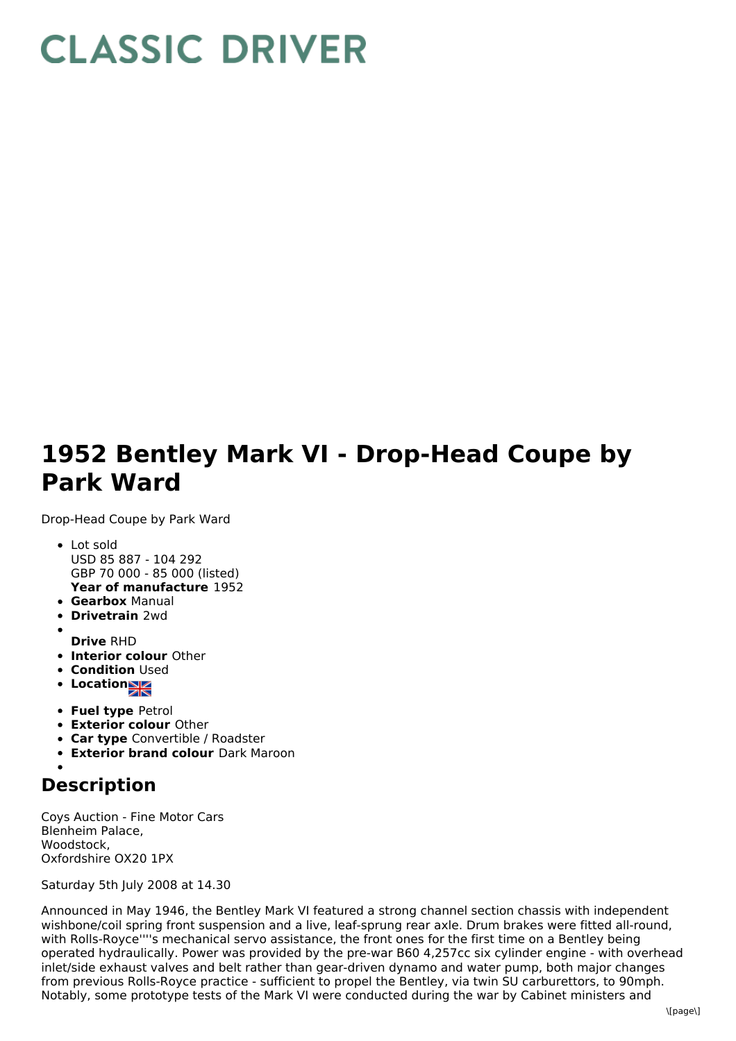## **CLASSIC DRIVER**

## **1952 Bentley Mark VI - Drop-Head Coupe by Park Ward**

Drop-Head Coupe by Park Ward

- **Year of manufacture** 1952 Lot sold USD 85 887 - 104 292 GBP 70 000 - 85 000 (listed)
- **Gearbox** Manual
- **Drivetrain** 2wd
- **Drive** RHD
- **Interior colour** Other
- **Condition Used**
- Location
- **Fuel type** Petrol
- **Exterior colour** Other
- **Car type** Convertible / Roadster
- **Exterior brand colour** Dark Maroon

## **Description**

Coys Auction - Fine Motor Cars Blenheim Palace, Woodstock, Oxfordshire OX20 1PX

Saturday 5th July 2008 at 14.30

Announced in May 1946, the Bentley Mark VI featured a strong channel section chassis with independent wishbone/coil spring front suspension and a live, leaf-sprung rear axle. Drum brakes were fitted all-round, with Rolls-Royce''''s mechanical servo assistance, the front ones for the first time on a Bentley being operated hydraulically. Power was provided by the pre-war B60 4,257cc six cylinder engine - with overhead inlet/side exhaust valves and belt rather than gear-driven dynamo and water pump, both major changes from previous Rolls-Royce practice - sufficient to propel the Bentley, via twin SU carburettors, to 90mph. Notably, some prototype tests of the Mark VI were conducted during the war by Cabinet ministers and